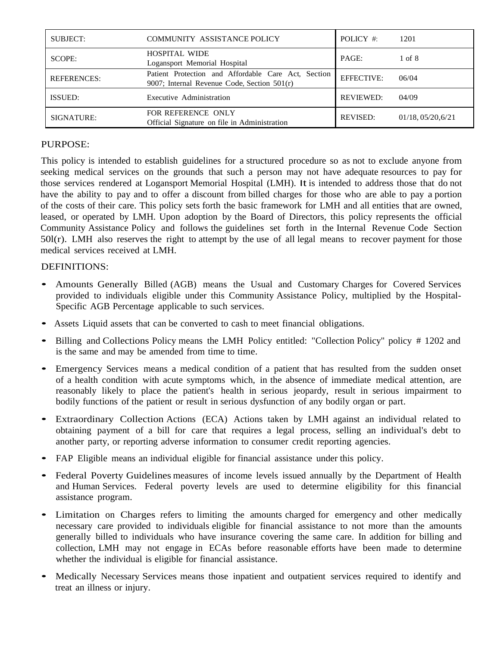| <b>SUBJECT:</b>    | COMMUNITY ASSISTANCE POLICY                                                                        | POLICY $#$        | 1201                       |
|--------------------|----------------------------------------------------------------------------------------------------|-------------------|----------------------------|
| SCOPE:             | <b>HOSPITAL WIDE</b><br>Logansport Memorial Hospital                                               | PAGE:             | 1 of 8                     |
| <b>REFERENCES:</b> | Patient Protection and Affordable Care Act, Section<br>9007; Internal Revenue Code, Section 501(r) | <b>EFFECTIVE:</b> | 06/04                      |
| ISSUED:            | Executive Administration                                                                           | <b>REVIEWED:</b>  | 04/09                      |
| SIGNATURE:         | FOR REFERENCE ONLY<br>Official Signature on file in Administration                                 | <b>REVISED:</b>   | $01/18$ , $05/20$ , $6/21$ |

# PURPOSE:

This policy is intended to establish guidelines for a structured procedure so as not to exclude anyone from seeking medical services on the grounds that such a person may not have adequate resources to pay for those services rendered at Logansport Memorial Hospital (LMH). It is intended to address those that do not have the ability to pay and to offer a discount from billed charges for those who are able to pay a portion of the costs of their care. This policy sets forth the basic framework for LMH and all entities that are owned, leased, or operated by LMH. Upon adoption by the Board of Directors, this policy represents the official Community Assistance Policy and follows the guidelines set forth in the Internal Revenue Code Section  $50l(r)$ . LMH also reserves the right to attempt by the use of all legal means to recover payment for those medical services received at LMH.

# DEFINITIONS:

- Amounts Generally Billed (AGB) means the Usual and Customary Charges for Covered Services provided to individuals eligible under this Community Assistance Policy, multiplied by the Hospital-Specific AGB Percentage applicable to such services.
- Assets Liquid assets that can be converted to cash to meet financial obligations.
- Billing and Collections Policy means the LMH Policy entitled: "Collection Policy" policy # 1202 and is the same and may be amended from time to time.
- Emergency Services means <sup>a</sup> medical condition of <sup>a</sup> patient that has resulted from the sudden onset of a health condition with acute symptoms which, in the absence of immediate medical attention, are reasonably likely to place the patient's health in serious jeopardy, result in serious impairment to bodily functions of the patient or result in serious dysfunction of any bodily organ or part.
- Extraordinary Collection Actions (ECA) Actions taken by LMH against an individual related to obtaining payment of a bill for care that requires a legal process, selling an individual's debt to another party, or reporting adverse information to consumer credit reporting agencies.
- FAP Eligible means an individual eligible for financial assistance under this policy.
- Federal Poverty Guidelines measures of income levels issued annually by the Department of Health and Human Services. Federal poverty levels are used to determine eligibility for this financial assistance program.
- Limitation on Charges refers to limiting the amounts charged for emergency and other medically necessary care provided to individuals eligible for financial assistance to not more than the amounts generally billed to individuals who have insurance covering the same care. In addition for billing and collection, LMH may not engage in ECAs before reasonable efforts have been made to determine whether the individual is eligible for financial assistance.
- Medically Necessary Services means those inpatient and outpatient services required to identify and treat an illness or injury.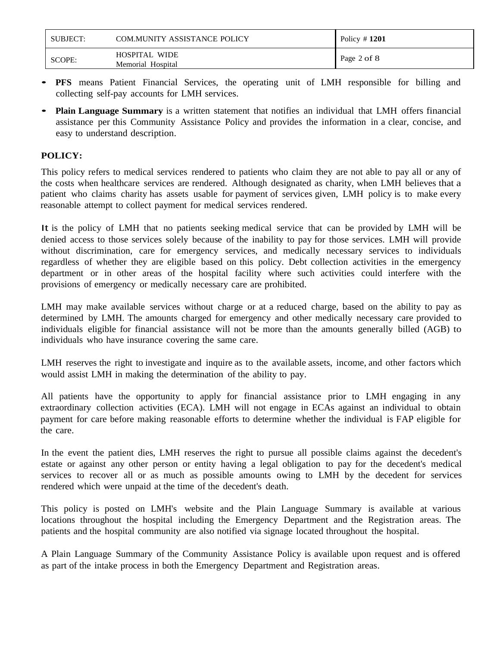| SUBJECT: | <b>COM.MUNITY ASSISTANCE POLICY</b> | Policy $#1201$ |  |
|----------|-------------------------------------|----------------|--|
| SCOPE:   | <b>HOSPITAL WIDE</b>                | Page 2 of 8    |  |
|          | Memorial Hospital                   |                |  |

- **PFS** means Patient Financial Services, the operating unit of LMH responsible for billing and collecting self-pay accounts for LMH services.
- **Plain Language Summary** is <sup>a</sup> written statement that notifies an individual that LMH offers financial assistance per this Community Assistance Policy and provides the information in a clear, concise, and easy to understand description.

# **POLICY:**

This policy refers to medical services rendered to patients who claim they are not able to pay all or any of the costs when healthcare services are rendered. Although designated as charity, when LMH believes that a patient who claims charity has assets usable for payment of services given, LMH policy is to make every reasonable attempt to collect payment for medical services rendered.

It is the policy of LMH that no patients seeking medical service that can be provided by LMH will be denied access to those services solely because of the inability to pay for those services. LMH will provide without discrimination, care for emergency services, and medically necessary services to individuals regardless of whether they are eligible based on this policy. Debt collection activities in the emergency department or in other areas of the hospital facility where such activities could interfere with the provisions of emergency or medically necessary care are prohibited.

LMH may make available services without charge or at a reduced charge, based on the ability to pay as determined by LMH. The amounts charged for emergency and other medically necessary care provided to individuals eligible for financial assistance will not be more than the amounts generally billed (AGB) to individuals who have insurance covering the same care.

LMH reserves the right to investigate and inquire as to the available assets, income, and other factors which would assist LMH in making the determination of the ability to pay.

All patients have the opportunity to apply for financial assistance prior to LMH engaging in any extraordinary collection activities (ECA). LMH will not engage in ECAs against an individual to obtain payment for care before making reasonable efforts to determine whether the individual is FAP eligible for the care.

In the event the patient dies, LMH reserves the right to pursue all possible claims against the decedent's estate or against any other person or entity having a legal obligation to pay for the decedent's medical services to recover all or as much as possible amounts owing to LMH by the decedent for services rendered which were unpaid at the time of the decedent's death.

This policy is posted on LMH's website and the Plain Language Summary is available at various locations throughout the hospital including the Emergency Department and the Registration areas. The patients and the hospital community are also notified via signage located throughout the hospital.

A Plain Language Summary of the Community Assistance Policy is available upon request and is offered as part of the intake process in both the Emergency Department and Registration areas.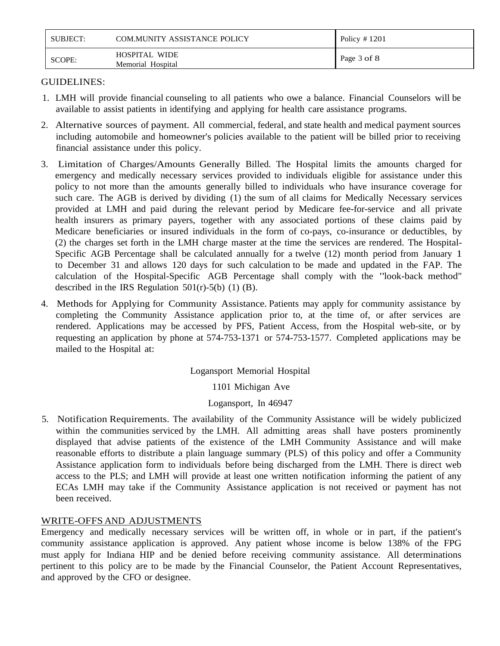| SUBJECT: | COM.MUNITY ASSISTANCE POLICY              | Policy $\#$ 1201 |
|----------|-------------------------------------------|------------------|
| SCOPE:   | <b>HOSPITAL WIDE</b><br>Memorial Hospital | Page 3 of 8      |

# GUIDELINES:

- 1. LMH will provide financial counseling to all patients who owe a balance. Financial Counselors will be available to assist patients in identifying and applying for health care assistance programs.
- 2. Alternative sources of payment. All commercial, federal, and state health and medical payment sources including automobile and homeowner's policies available to the patient will be billed prior to receiving financial assistance under this policy.
- 3. Limitation of Charges/Amounts Generally Billed. The Hospital limits the amounts charged for emergency and medically necessary services provided to individuals eligible for assistance under this policy to not more than the amounts generally billed to individuals who have insurance coverage for such care. The AGB is derived by dividing (1) the sum of all claims for Medically Necessary services provided at LMH and paid during the relevant period by Medicare fee-for-service and all private health insurers as primary payers, together with any associated portions of these claims paid by Medicare beneficiaries or insured individuals in the form of co-pays, co-insurance or deductibles, by (2) the charges set forth in the LMH charge master at the time the services are rendered. The Hospital-Specific AGB Percentage shall be calculated annually for a twelve (12) month period from January 1 to December 31 and allows 120 days for such calculation to be made and updated in the FAP. The calculation of the Hospital-Specific AGB Percentage shall comply with the "look-back method" described in the IRS Regulation  $501(r)-5(b)$  (1) (B).
- 4. Methods for Applying for Community Assistance. Patients may apply for community assistance by completing the Community Assistance application prior to, at the time of, or after services are rendered. Applications may be accessed by PFS, Patient Access, from the Hospital web-site, or by requesting an application by phone at 574-753-1371 or 574-753-1577. Completed applications may be mailed to the Hospital at:

# Logansport Memorial Hospital

1101 Michigan Ave

# Logansport, In 46947

5. Notification Requirements. The availability of the Community Assistance will be widely publicized within the communities serviced by the LMH. All admitting areas shall have posters prominently displayed that advise patients of the existence of the LMH Community Assistance and will make reasonable efforts to distribute a plain language summary (PLS) of this policy and offer a Community Assistance application form to individuals before being discharged from the LMH. There is direct web access to the PLS; and LMH will provide at least one written notification informing the patient of any ECAs LMH may take if the Community Assistance application is not received or payment has not been received.

# WRITE-OFFS AND ADJUSTMENTS

Emergency and medically necessary services will be written off, in whole or in part, if the patient's community assistance application is approved. Any patient whose income is below 138% of the FPG must apply for Indiana HIP and be denied before receiving community assistance. All determinations pertinent to this policy are to be made by the Financial Counselor, the Patient Account Representatives, and approved by the CFO or designee.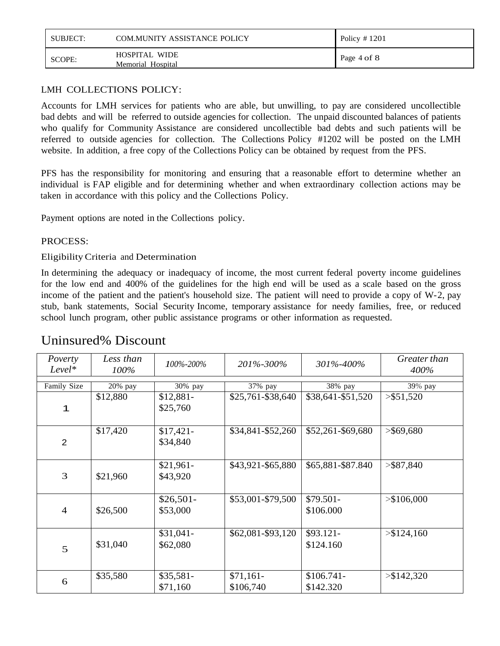| SUBJECT: | <b>COM.MUNITY ASSISTANCE POLICY</b>       | Policy $\#$ 1201 |
|----------|-------------------------------------------|------------------|
| SCOPE:   | <b>HOSPITAL WIDE</b><br>Memorial Hospital | Page 4 of 8      |

# LMH COLLECTIONS POLICY:

Accounts for LMH services for patients who are able, but unwilling, to pay are considered uncollectible bad debts and will be referred to outside agencies for collection. The unpaid discounted balances of patients who qualify for Community Assistance are considered uncollectible bad debts and such patients will be referred to outside agencies for collection. The Collections Policy #1202 will be posted on the LMH website. In addition, a free copy of the Collections Policy can be obtained by request from the PFS.

PFS has the responsibility for monitoring and ensuring that a reasonable effort to determine whether an individual is FAP eligible and for determining whether and when extraordinary collection actions may be taken in accordance with this policy and the Collections Policy.

Payment options are noted in the Collections policy.

# PROCESS:

EligibilityCriteria and Determination

In determining the adequacy or inadequacy of income, the most current federal poverty income guidelines for the low end and 400% of the guidelines for the high end will be used as a scale based on the gross income of the patient and the patient's household size. The patient will need to provide a copy of W-2, pay stub, bank statements, Social Security Income, temporary assistance for needy families, free, or reduced school lunch program, other public assistance programs or other information as requested.

| Poverty<br>$Level*$ | Less than<br>100% | 100%-200%              | 201%-300%               | 301%-400%                | Greater than<br>400% |
|---------------------|-------------------|------------------------|-------------------------|--------------------------|----------------------|
| Family Size         | 20% pay           | 30% pay                | 37% pay                 | 38% pay                  | 39% pay              |
| 1                   | \$12,880          | $$12,881-$<br>\$25,760 | \$25,761-\$38,640       | \$38,641-\$51,520        | $>$ \$51,520         |
| $\overline{2}$      | \$17,420          | $$17,421-$<br>\$34,840 | \$34,841-\$52,260       | \$52,261-\$69,680        | $>$ \$69,680         |
| 3                   | \$21,960          | $$21,961-$<br>\$43,920 | \$43,921-\$65,880       | \$65,881-\$87.840        | $>$ \$87,840         |
| $\overline{4}$      | \$26,500          | $$26,501-$<br>\$53,000 | \$53,001-\$79,500       | \$79.501-<br>\$106.000   | > \$106,000          |
| 5                   | \$31,040          | $$31,041-$<br>\$62,080 | \$62,081-\$93,120       | $$93.121-$<br>\$124.160  | > \$124,160          |
| 6                   | \$35,580          | $$35,581-$<br>\$71,160 | $$71,161-$<br>\$106,740 | $$106.741-$<br>\$142.320 | > \$142,320          |

# Uninsured% Discount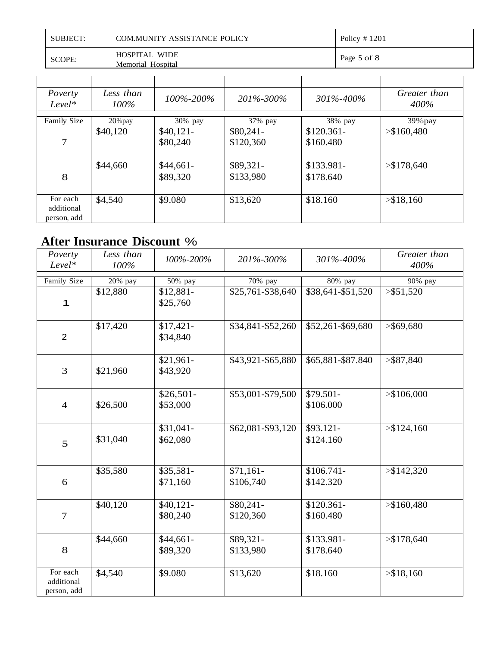| <b>SUBJECT:</b> | COM.MUNITY ASSISTANCE POLICY              | Policy $\#$ 1201 |
|-----------------|-------------------------------------------|------------------|
| <b>SCOPE:</b>   | <b>HOSPITAL WIDE</b><br>Memorial Hospital | Page 5 of 8      |

| Poverty<br>$Level*$                   | Less than<br>100% | 100%-200%              | 201\%-300\%             | 301\%-400\%              | Greater than<br>400% |
|---------------------------------------|-------------------|------------------------|-------------------------|--------------------------|----------------------|
| Family Size                           | 20% pay           | 30% pay                | 37% pay                 | 38% pay                  | $39\%$ pay           |
| 7                                     | \$40,120          | $$40,121-$<br>\$80,240 | $$80,241-$<br>\$120,360 | $$120.361-$<br>\$160.480 | > \$160,480          |
| 8                                     | \$44,660          | $$44,661-$<br>\$89,320 | \$89,321-<br>\$133,980  | $$133.981-$<br>\$178.640 | > \$178,640          |
| For each<br>additional<br>person, add | \$4,540           | \$9.080                | \$13,620                | \$18.160                 | > \$18,160           |

# **After Insurance Discount** %

| Poverty<br>Level*                     | Less than<br>100% | 100%-200%              | 201%-300%               | 301%-400%                | Greater than<br>400% |
|---------------------------------------|-------------------|------------------------|-------------------------|--------------------------|----------------------|
| Family Size                           | 20% pay           | 50% pay                | 70% pay                 | 80% pay                  | 90% pay              |
| 1                                     | \$12,880          | $$12,881-$<br>\$25,760 | \$25,761-\$38,640       | \$38,641-\$51,520        | $>$ \$51,520         |
| $\overline{2}$                        | \$17,420          | $$17,421-$<br>\$34,840 | \$34,841-\$52,260       | \$52,261-\$69,680        | > \$69,680           |
| 3                                     | \$21,960          | $$21,961-$<br>\$43,920 | \$43,921-\$65,880       | \$65,881-\$87.840        | > \$87,840           |
| $\overline{4}$                        | \$26,500          | $$26,501-$<br>\$53,000 | \$53,001-\$79,500       | \$79.501-<br>\$106.000   | > \$106,000          |
| 5                                     | \$31,040          | $$31,041-$<br>\$62,080 | \$62,081-\$93,120       | $$93.121-$<br>\$124.160  | > \$124,160          |
| 6                                     | \$35,580          | $$35,581-$<br>\$71,160 | $$71,161-$<br>\$106,740 | $$106.741-$<br>\$142.320 | > \$142,320          |
| $\overline{7}$                        | \$40,120          | $$40,121-$<br>\$80,240 | $$80,241-$<br>\$120,360 | $$120.361-$<br>\$160.480 | > \$160,480          |
| 8                                     | \$44,660          | $$44,661-$<br>\$89,320 | \$89,321-<br>\$133,980  | \$133.981-<br>\$178.640  | > \$178,640          |
| For each<br>additional<br>person, add | \$4,540           | \$9.080                | \$13,620                | \$18.160                 | > \$18,160           |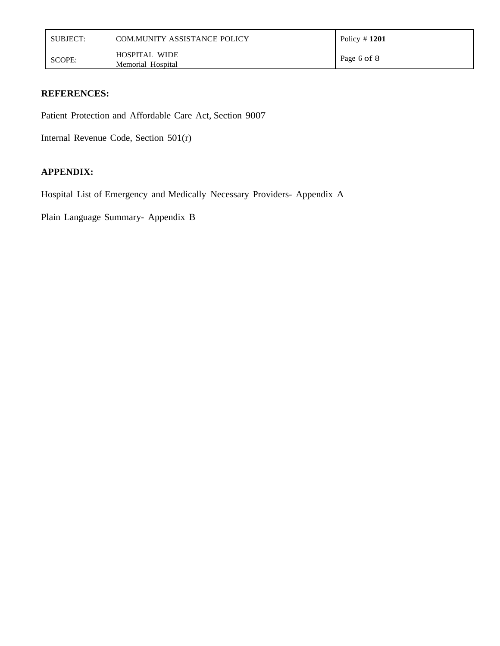| SUBJECT: | <b>COM.MUNITY ASSISTANCE POLICY</b>       | Policy $\#$ 1201 |
|----------|-------------------------------------------|------------------|
| SCOPE:   | <b>HOSPITAL WIDE</b><br>Memorial Hospital | Page 6 of 8      |

### **REFERENCES:**

Patient Protection and Affordable Care Act, Section 9007

Internal Revenue Code, Section 501(r)

# **APPENDIX:**

Hospital List of Emergency and Medically Necessary Providers- Appendix A

Plain Language Summary- Appendix B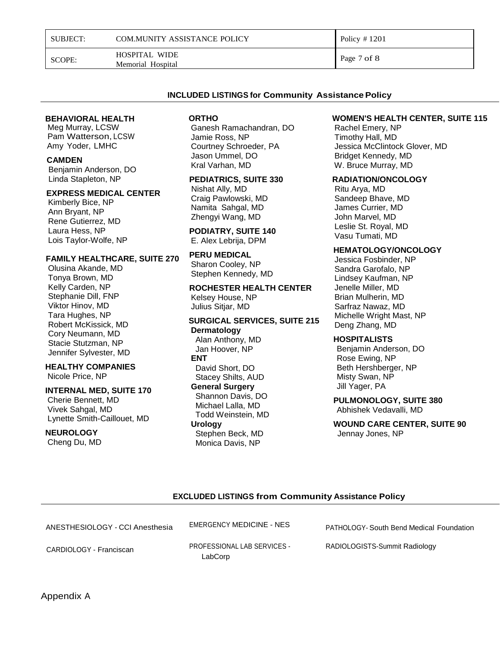| <b>SUBJECT:</b> | <b>COM.MUNITY ASSISTANCE POLICY</b> | Policy $\#$ 1201 |
|-----------------|-------------------------------------|------------------|
|-----------------|-------------------------------------|------------------|

SCOPE: HOSPITAL WIDE Memorial Hospital

Page 7 of 8

#### **INCLUDED LISTINGS for Community Assistance Policy**

#### **BEHAVIORAL HEALTH**

 Meg Murray, LCSW Pam Watterson, LCSW Amy Yoder, LMHC

#### **CAMDEN**

Benjamin Anderson, DO Linda Stapleton, NP

#### **EXPRESS MEDICAL CENTER**

Kimberly Bice, NP Ann Bryant, NP Rene Gutierrez, MD Laura Hess, NP Lois Taylor-Wolfe, NP

#### **FAMILY HEALTHCARE, SUITE 270**

Olusina Akande, MD Tonya Brown, MD Kelly Carden, NP Stephanie Dill, FNP Viktor Hinov, MD Tara Hughes, NP Robert McKissick, MD Cory Neumann, MD Stacie Stutzman, NP Jennifer Sylvester, MD

### **HEALTHY COMPANIES**

Nicole Price, NP

#### **INTERNAL MED, SUITE 170**

 Cherie Bennett, MD Vivek Sahgal, MD Lynette Smith-Caillouet, MD

### **NEUROLOGY**

Cheng Du, MD

#### **ORTHO**

Ganesh Ramachandran, DO Jamie Ross, NP Courtney Schroeder, PA Jason Ummel, DO Kral Varhan, MD

### **PEDIATRICS, SUITE 330**

Nishat Ally, MD Craig Pawlowski, MD Namita Sahgal, MD Zhengyi Wang, MD

#### **PODIATRY, SUITE 140** E. Alex Lebrija, DPM

**PERU MEDICAL**

Sharon Cooley, NP Stephen Kennedy, MD

**ROCHESTER HEALTH CENTER** Kelsey House, NP Julius Sitjar, MD

#### **SURGICAL SERVICES, SUITE 215 Dermatology** Alan Anthony, MD

 Jan Hoover, NP **ENT** David Short, DO Stacey Shilts, AUD **General Surgery** Shannon Davis, DO Michael Lalla, MD Todd Weinstein, MD **Urology** Stephen Beck, MD Monica Davis, NP

#### **WOMEN'S HEALTH CENTER, SUITE 115**

Rachel Emery, NP Timothy Hall, MD Jessica McClintock Glover, MD Bridget Kennedy, MD W. Bruce Murray, MD

#### **RADIATION/ONCOLOGY**

Ritu Arya, MD Sandeep Bhave, MD James Currier, MD John Marvel, MD Leslie St. Royal, MD Vasu Tumati, MD

#### **HEMATOLOGY/ONCOLOGY**

Jessica Fosbinder, NP Sandra Garofalo, NP Lindsey Kaufman, NP Jenelle Miller, MD Brian Mulherin, MD Sarfraz Nawaz, MD Michelle Wright Mast, NP Deng Zhang, MD

#### **HOSPITALISTS**

 Benjamin Anderson, DO Rose Ewing, NP Beth Hershberger, NP Misty Swan, NP Jill Yager, PA

**PULMONOLOGY, SUITE 380** Abhishek Vedavalli, MD

**WOUND CARE CENTER, SUITE 90** Jennay Jones, NP

#### **EXCLUDED LISTINGS from Community Assistance Policy**

| ANESTHESIOLOGY - CCI Anesthesia | <b>EMERGENCY MEDICINE - NES</b>               | PATHOLOGY- South Bend Medical Foundation |
|---------------------------------|-----------------------------------------------|------------------------------------------|
| CARDIOLOGY - Franciscan         | <b>PROFESSIONAL LAB SERVICES -</b><br>LabCorp | RADIOLOGISTS-Summit Radiology            |